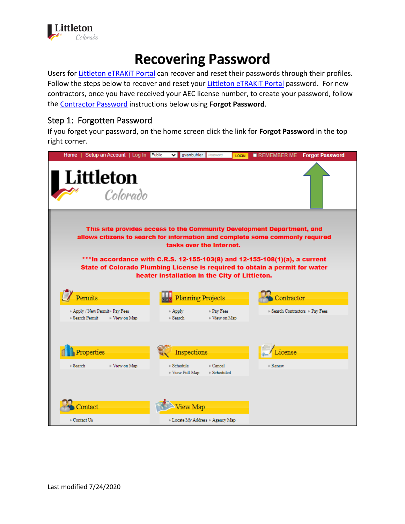

## **Recovering Password**

Users for [Littleton eTRAKiT Portal](https://permit9.littletongov.org/eTRAKiT) can recover and reset their passwords through their profiles. Follow the steps below to recover and reset your Littleton eTRAKIT Portal password. For new contractors, once you have received your AEC license number, to create your password, follow the [Contractor Password](#page-1-0) instructions below using **Forgot Password**.

### Step 1: Forgotten Password

If you forget your password, on the home screen click the link for **Forgot Password** in the top right corner.

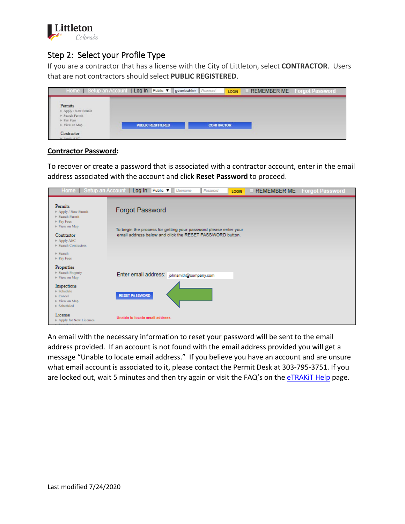

## Step 2: Select your Profile Type

If you are a contractor that has a license with the City of Littleton, select **CONTRACTOR**. Users that are not contractors should select **PUBLIC REGISTERED**.



#### <span id="page-1-0"></span>**Contractor Password:**

To recover or create a password that is associated with a contractor account, enter in the email address associated with the account and click **Reset Password** to proceed.

|                                                                                                                                           | Home   Setup an Account   Log In Public ▼<br><b>REMEMBER ME Forgot Password</b><br>Password<br><b>Usemame</b><br><b>LOGIN</b>                          |
|-------------------------------------------------------------------------------------------------------------------------------------------|--------------------------------------------------------------------------------------------------------------------------------------------------------|
| Permits<br>- Apply / New Permit<br>- Search Permit<br>$\blacktriangleright$ Pay Fees<br>- View on Map<br>Contractor<br>$\vdash$ Apply AEC | <b>Forgot Password</b><br>To begin the process for getting your password please enter your<br>email address below and click the RESET PASSWORD button. |
| <b>Search Contractors</b><br>$\triangleright$ Search                                                                                      |                                                                                                                                                        |
| $\blacktriangleright$ Pay Fees<br>Properties<br><b>Search Property</b>                                                                    |                                                                                                                                                        |
| - View on Map<br>Inspections                                                                                                              | Enter email address: johnsmith@company.com                                                                                                             |
| $-$ Schedule<br>$\triangleright$ Cancel<br>- View on Map<br>- Scheduled                                                                   | <b>RESET PASSWORD</b>                                                                                                                                  |
| License<br>Apply for New Licenses                                                                                                         | Unable to locate email address.                                                                                                                        |

An email with the necessary information to reset your password will be sent to the email address provided. If an account is not found with the email address provided you will get a message "Unable to locate email address." If you believe you have an account and are unsure what email account is associated to it, please contact the Permit Desk at 303-795-3751. If you are locked out, wait 5 minutes and then try again or visit the FAQ's on the **eTRAKIT Help** page.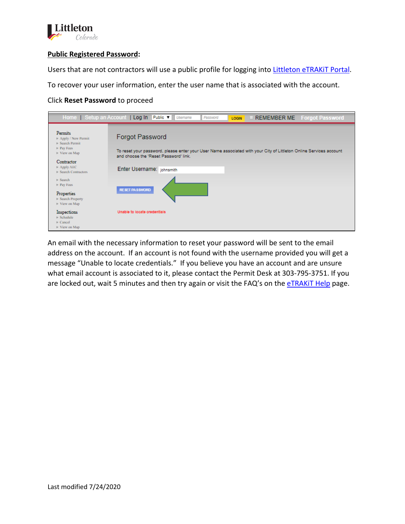

#### **Public Registered Password:**

Users that are not contractors will use a public profile for logging into [Littleton eTRAKiT Portal.](https://permit9.littletongov.org/eTRAKiT)

To recover your user information, enter the user name that is associated with the account.

#### Click **Reset Password** to proceed

|                                                                                                        | Home   Setup an Account   Log In Public V   Username<br>Password<br><b>REMEMBER ME Forgot Password</b><br><b>LOGIN</b>                       |
|--------------------------------------------------------------------------------------------------------|----------------------------------------------------------------------------------------------------------------------------------------------|
| <b>Permits</b><br>- Apply / New Permit<br>- Search Permit<br>$\blacktriangleright$ Pay Fees            | <b>Forgot Password</b><br>To reset your password, please enter your User Name associated with your City of Littleton Online Services account |
| View on Map<br>Contractor                                                                              | and choose the 'Reset Password' link.                                                                                                        |
| $\triangleright$ Apply AEC<br>Search Contractors                                                       | Enter Username: johnsmith                                                                                                                    |
| $\triangleright$ Search<br>$\triangleright$ Pay Fees<br>Properties<br>- Search Property<br>View on Map | <b>RESET PASSWORD</b>                                                                                                                        |
| Inspections<br>- Schedule<br>$\triangleright$ Cancel<br>View on Map                                    | Unable to locate credentials                                                                                                                 |

An email with the necessary information to reset your password will be sent to the email address on the account. If an account is not found with the username provided you will get a message "Unable to locate credentials." If you believe you have an account and are unsure what email account is associated to it, please contact the Permit Desk at 303-795-3751. If you are locked out, wait 5 minutes and then try again or visit the FAQ's on the **eTRAKIT Help** page.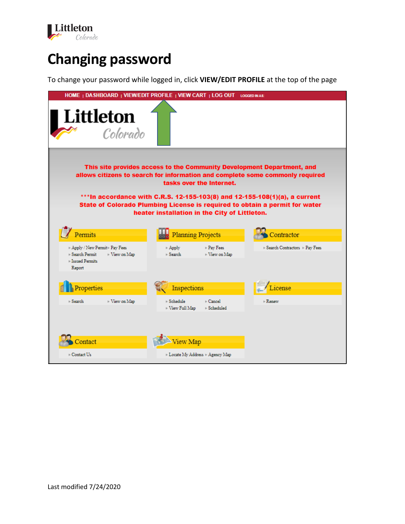

# **Changing password**

To change your password while logged in, click **VIEW/EDIT PROFILE** at the top of the page

| HOME   DASHBOARD   VIEW/EDIT PROFILE   VIEW CART   LOG OUT<br><b>LOGGED IN AS:</b>                                                                                                                                                                                                                                                                                                                |                                                  |                             |  |  |  |  |  |  |  |
|---------------------------------------------------------------------------------------------------------------------------------------------------------------------------------------------------------------------------------------------------------------------------------------------------------------------------------------------------------------------------------------------------|--------------------------------------------------|-----------------------------|--|--|--|--|--|--|--|
| Littleton<br>Colorado                                                                                                                                                                                                                                                                                                                                                                             |                                                  |                             |  |  |  |  |  |  |  |
| This site provides access to the Community Development Department, and<br>allows citizens to search for information and complete some commonly required<br>tasks over the Internet.<br>***In accordance with C.R.S. 12-155-103(8) and 12-155-108(1)(a), a current<br>State of Colorado Plumbing License is required to obtain a permit for water<br>heater installation in the City of Littleton. |                                                  |                             |  |  |  |  |  |  |  |
| Permits                                                                                                                                                                                                                                                                                                                                                                                           | <b>Planning Projects</b>                         | Contractor                  |  |  |  |  |  |  |  |
| Apply / New Permit Pay Fees<br>Search Permit<br>View on Map<br><b>Issued Permits</b><br>Report                                                                                                                                                                                                                                                                                                    | Apply<br>Pay Fees<br>View on Map<br>- Search     | Search Contractors Pay Fees |  |  |  |  |  |  |  |
| Properties<br>View on Map<br>- Search                                                                                                                                                                                                                                                                                                                                                             | Inspections<br>Schedule<br>$\blacksquare$ Cancel | cense<br>$\mathbb R$ enew   |  |  |  |  |  |  |  |
| 'ontact                                                                                                                                                                                                                                                                                                                                                                                           | Scheduled<br>View Full Map<br>Tiew Map           |                             |  |  |  |  |  |  |  |
| Contact Us                                                                                                                                                                                                                                                                                                                                                                                        | Locate My Address Agency Map                     |                             |  |  |  |  |  |  |  |